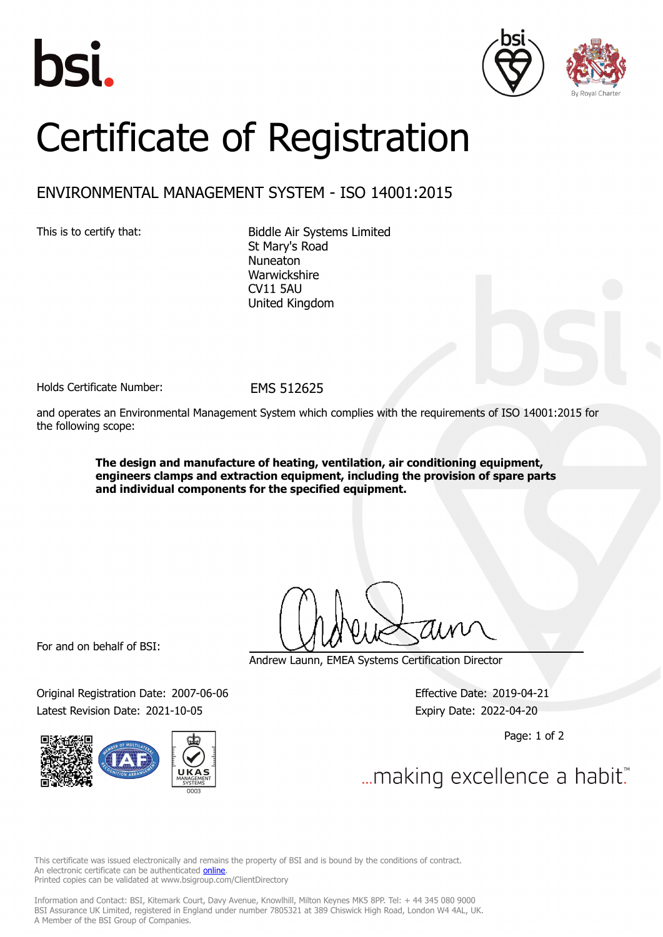





## Certificate of Registration

## ENVIRONMENTAL MANAGEMENT SYSTEM - ISO 14001:2015

This is to certify that: Biddle Air Systems Limited St Mary's Road Nuneaton Warwickshire CV11 5AU United Kingdom

Holds Certificate Number: FMS 512625

and operates an Environmental Management System which complies with the requirements of ISO 14001:2015 for the following scope:

> **The design and manufacture of heating, ventilation, air conditioning equipment, engineers clamps and extraction equipment, including the provision of spare parts and individual components for the specified equipment.**

For and on behalf of BSI:

Original Registration Date: 2007-06-06 Effective Date: 2019-04-21 Latest Revision Date: 2021-10-05 Expiry Date: 2022-04-20



Andrew Launn, EMEA Systems Certification Director

Page: 1 of 2

... making excellence a habit.

This certificate was issued electronically and remains the property of BSI and is bound by the conditions of contract. An electronic certificate can be authenticated **[online](https://pgplus.bsigroup.com/CertificateValidation/CertificateValidator.aspx?CertificateNumber=EMS+512625&ReIssueDate=05%2f10%2f2021&Template=uk)**. Printed copies can be validated at www.bsigroup.com/ClientDirectory

Information and Contact: BSI, Kitemark Court, Davy Avenue, Knowlhill, Milton Keynes MK5 8PP. Tel: + 44 345 080 9000 BSI Assurance UK Limited, registered in England under number 7805321 at 389 Chiswick High Road, London W4 4AL, UK. A Member of the BSI Group of Companies.